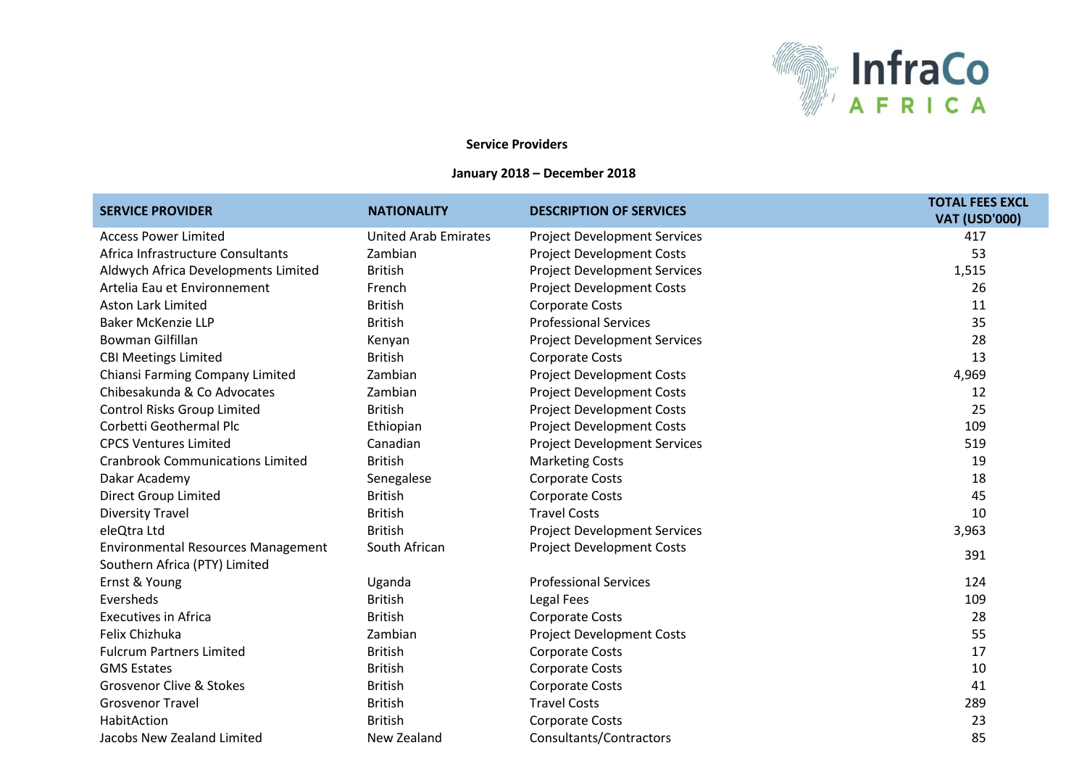

## **Service Providers**

## **January 2018 – December 2018**

| <b>SERVICE PROVIDER</b>                                                    | <b>NATIONALITY</b>          | <b>DESCRIPTION OF SERVICES</b>      | <b>TOTAL FEES EXCL</b><br><b>VAT (USD'000)</b> |
|----------------------------------------------------------------------------|-----------------------------|-------------------------------------|------------------------------------------------|
| <b>Access Power Limited</b>                                                | <b>United Arab Emirates</b> | <b>Project Development Services</b> | 417                                            |
| Africa Infrastructure Consultants                                          | Zambian                     | <b>Project Development Costs</b>    | 53                                             |
| Aldwych Africa Developments Limited                                        | <b>British</b>              | <b>Project Development Services</b> | 1,515                                          |
| Artelia Eau et Environnement                                               | French                      | <b>Project Development Costs</b>    | 26                                             |
| <b>Aston Lark Limited</b>                                                  | <b>British</b>              | <b>Corporate Costs</b>              | 11                                             |
| <b>Baker McKenzie LLP</b>                                                  | <b>British</b>              | <b>Professional Services</b>        | 35                                             |
| <b>Bowman Gilfillan</b>                                                    | Kenyan                      | <b>Project Development Services</b> | 28                                             |
| <b>CBI Meetings Limited</b>                                                | <b>British</b>              | <b>Corporate Costs</b>              | 13                                             |
| Chiansi Farming Company Limited                                            | Zambian                     | <b>Project Development Costs</b>    | 4,969                                          |
| Chibesakunda & Co Advocates                                                | Zambian                     | <b>Project Development Costs</b>    | 12                                             |
| <b>Control Risks Group Limited</b>                                         | <b>British</b>              | <b>Project Development Costs</b>    | 25                                             |
| Corbetti Geothermal Plc                                                    | Ethiopian                   | <b>Project Development Costs</b>    | 109                                            |
| <b>CPCS Ventures Limited</b>                                               | Canadian                    | <b>Project Development Services</b> | 519                                            |
| <b>Cranbrook Communications Limited</b>                                    | <b>British</b>              | <b>Marketing Costs</b>              | 19                                             |
| Dakar Academy                                                              | Senegalese                  | <b>Corporate Costs</b>              | 18                                             |
| <b>Direct Group Limited</b>                                                | <b>British</b>              | <b>Corporate Costs</b>              | 45                                             |
| <b>Diversity Travel</b>                                                    | <b>British</b>              | <b>Travel Costs</b>                 | 10                                             |
| eleQtra Ltd                                                                | <b>British</b>              | <b>Project Development Services</b> | 3,963                                          |
| <b>Environmental Resources Management</b><br>Southern Africa (PTY) Limited | South African               | <b>Project Development Costs</b>    | 391                                            |
| Ernst & Young                                                              |                             | <b>Professional Services</b>        | 124                                            |
| Eversheds                                                                  | Uganda<br><b>British</b>    | Legal Fees                          | 109                                            |
| <b>Executives in Africa</b>                                                | <b>British</b>              | <b>Corporate Costs</b>              | 28                                             |
| Felix Chizhuka                                                             | Zambian                     | <b>Project Development Costs</b>    | 55                                             |
| <b>Fulcrum Partners Limited</b>                                            | <b>British</b>              | <b>Corporate Costs</b>              | 17                                             |
| <b>GMS Estates</b>                                                         | <b>British</b>              | <b>Corporate Costs</b>              | 10                                             |
| <b>Grosvenor Clive &amp; Stokes</b>                                        | <b>British</b>              | <b>Corporate Costs</b>              | 41                                             |
| <b>Grosvenor Travel</b>                                                    | <b>British</b>              | <b>Travel Costs</b>                 | 289                                            |
| HabitAction                                                                | <b>British</b>              |                                     |                                                |
|                                                                            |                             | <b>Corporate Costs</b>              | 23                                             |
| Jacobs New Zealand Limited                                                 | New Zealand                 | Consultants/Contractors             | 85                                             |